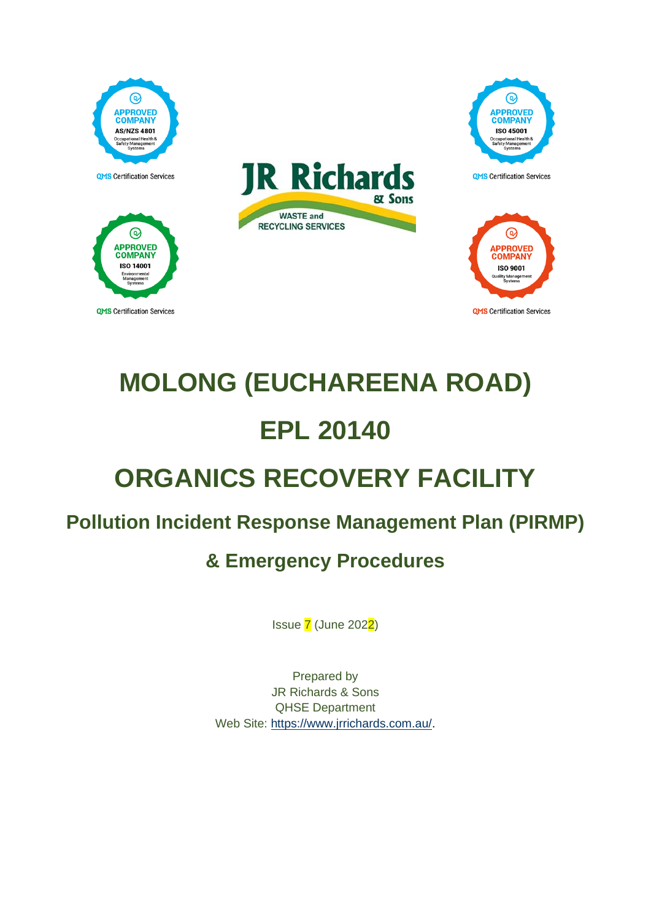

# **MOLONG (EUCHAREENA ROAD) EPL 20140 ORGANICS RECOVERY FACILITY**

# **Pollution Incident Response Management Plan (PIRMP)**

# **& Emergency Procedures**

Issue 7 (June 2022)

Prepared by JR Richards & Sons QHSE Department Web Site: [https://www.jrrichards.com.au/.](https://www.jrrichards.com.au/)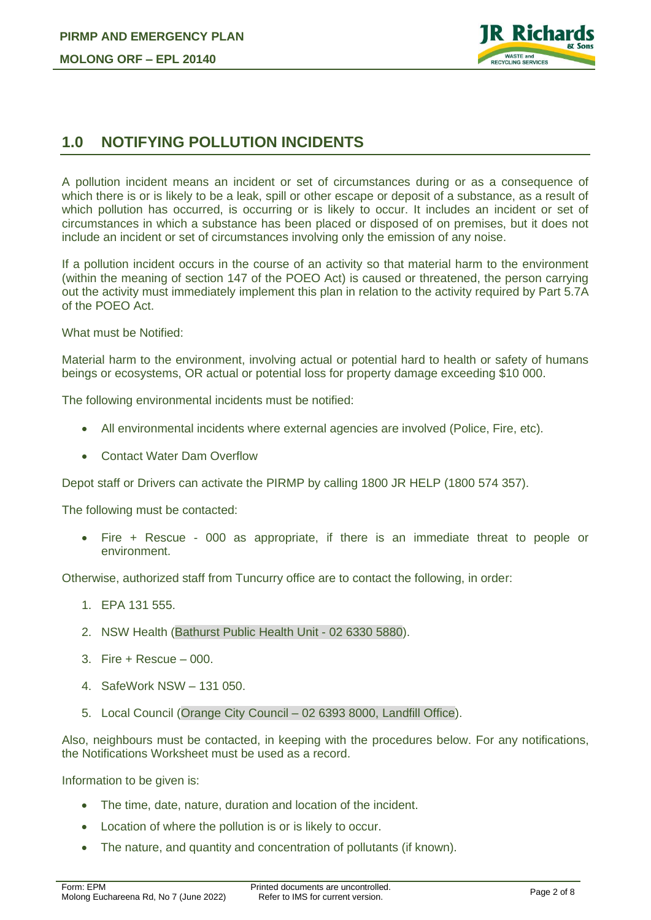

# **1.0 NOTIFYING POLLUTION INCIDENTS**

A pollution incident means an incident or set of circumstances during or as a consequence of which there is or is likely to be a leak, spill or other escape or deposit of a substance, as a result of which pollution has occurred, is occurring or is likely to occur. It includes an incident or set of circumstances in which a substance has been placed or disposed of on premises, but it does not include an incident or set of circumstances involving only the emission of any noise.

If a pollution incident occurs in the course of an activity so that material harm to the environment (within the meaning of section 147 of the POEO Act) is caused or threatened, the person carrying out the activity must immediately implement this plan in relation to the activity required by Part 5.7A of the POEO Act.

What must be Notified:

Material harm to the environment, involving actual or potential hard to health or safety of humans beings or ecosystems, OR actual or potential loss for property damage exceeding \$10 000.

The following environmental incidents must be notified:

- All environmental incidents where external agencies are involved (Police, Fire, etc).
- Contact Water Dam Overflow

Depot staff or Drivers can activate the PIRMP by calling 1800 JR HELP (1800 574 357).

The following must be contacted:

• Fire + Rescue - 000 as appropriate, if there is an immediate threat to people or environment.

Otherwise, authorized staff from Tuncurry office are to contact the following, in order:

- 1. EPA 131 555.
- 2. NSW Health (Bathurst Public Health Unit 02 6330 5880).
- 3. Fire + Rescue 000.
- 4. SafeWork NSW 131 050.
- 5. Local Council (Orange City Council 02 6393 8000, Landfill Office).

Also, neighbours must be contacted, in keeping with the procedures below. For any notifications, the Notifications Worksheet must be used as a record.

Information to be given is:

- The time, date, nature, duration and location of the incident.
- Location of where the pollution is or is likely to occur.
- The nature, and quantity and concentration of pollutants (if known).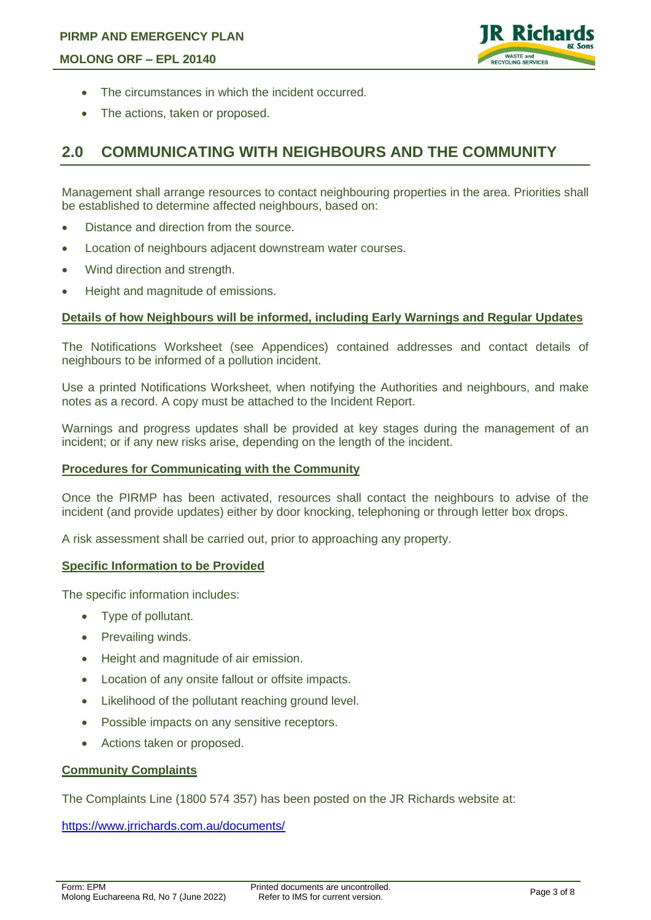

- The circumstances in which the incident occurred.
- The actions, taken or proposed.

## **2.0 COMMUNICATING WITH NEIGHBOURS AND THE COMMUNITY**

Management shall arrange resources to contact neighbouring properties in the area. Priorities shall be established to determine affected neighbours, based on:

- Distance and direction from the source.
- Location of neighbours adjacent downstream water courses.
- Wind direction and strength.
- Height and magnitude of emissions.

#### **Details of how Neighbours will be informed, including Early Warnings and Regular Updates**

The Notifications Worksheet (see Appendices) contained addresses and contact details of neighbours to be informed of a pollution incident.

Use a printed Notifications Worksheet, when notifying the Authorities and neighbours, and make notes as a record. A copy must be attached to the Incident Report.

Warnings and progress updates shall be provided at key stages during the management of an incident; or if any new risks arise, depending on the length of the incident.

#### **Procedures for Communicating with the Community**

Once the PIRMP has been activated, resources shall contact the neighbours to advise of the incident (and provide updates) either by door knocking, telephoning or through letter box drops.

A risk assessment shall be carried out, prior to approaching any property.

#### **Specific Information to be Provided**

The specific information includes:

- Type of pollutant.
- Prevailing winds.
- Height and magnitude of air emission.
- Location of any onsite fallout or offsite impacts.
- Likelihood of the pollutant reaching ground level.
- Possible impacts on any sensitive receptors.
- Actions taken or proposed.

#### **Community Complaints**

The Complaints Line (1800 574 357) has been posted on the JR Richards website at:

<https://www.jrrichards.com.au/documents/>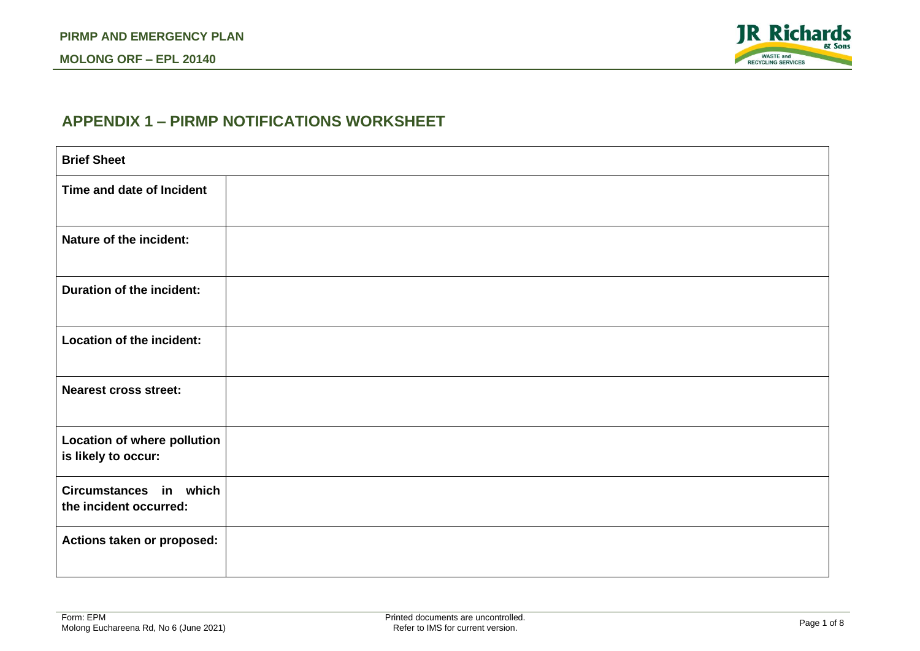#### **MOLONG ORF – EPL 20140**

### **APPENDIX 1 – PIRMP NOTIFICATIONS WORKSHEET**

| <b>Brief Sheet</b>                                 |  |
|----------------------------------------------------|--|
| Time and date of Incident                          |  |
| Nature of the incident:                            |  |
| <b>Duration of the incident:</b>                   |  |
| Location of the incident:                          |  |
| <b>Nearest cross street:</b>                       |  |
| Location of where pollution<br>is likely to occur: |  |
| Circumstances in which<br>the incident occurred:   |  |
| Actions taken or proposed:                         |  |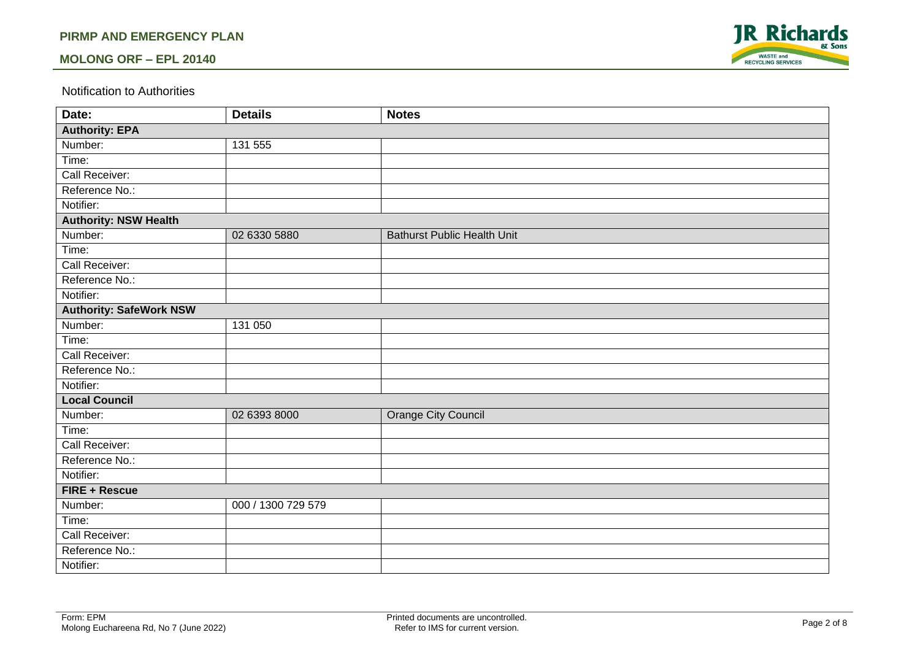#### **PIRMP AND EMERGENCY PLAN**

#### **MOLONG ORF – EPL 20140**



#### Notification to Authorities

| Date:                          | <b>Details</b>     | <b>Notes</b>                       |  |  |  |  |
|--------------------------------|--------------------|------------------------------------|--|--|--|--|
| <b>Authority: EPA</b>          |                    |                                    |  |  |  |  |
| Number:                        | 131 555            |                                    |  |  |  |  |
| Time:                          |                    |                                    |  |  |  |  |
| Call Receiver:                 |                    |                                    |  |  |  |  |
| Reference No.:                 |                    |                                    |  |  |  |  |
| Notifier:                      |                    |                                    |  |  |  |  |
| <b>Authority: NSW Health</b>   |                    |                                    |  |  |  |  |
| Number:                        | 02 6330 5880       | <b>Bathurst Public Health Unit</b> |  |  |  |  |
| Time:                          |                    |                                    |  |  |  |  |
| Call Receiver:                 |                    |                                    |  |  |  |  |
| Reference No.:                 |                    |                                    |  |  |  |  |
| Notifier:                      |                    |                                    |  |  |  |  |
| <b>Authority: SafeWork NSW</b> |                    |                                    |  |  |  |  |
| Number:                        | 131 050            |                                    |  |  |  |  |
| Time:                          |                    |                                    |  |  |  |  |
| Call Receiver:                 |                    |                                    |  |  |  |  |
| Reference No.:                 |                    |                                    |  |  |  |  |
| Notifier:                      |                    |                                    |  |  |  |  |
| <b>Local Council</b>           |                    |                                    |  |  |  |  |
| Number:                        | 02 6393 8000       | Orange City Council                |  |  |  |  |
| Time:                          |                    |                                    |  |  |  |  |
| Call Receiver:                 |                    |                                    |  |  |  |  |
| Reference No.:                 |                    |                                    |  |  |  |  |
| Notifier:                      |                    |                                    |  |  |  |  |
| FIRE + Rescue                  |                    |                                    |  |  |  |  |
| Number:                        | 000 / 1300 729 579 |                                    |  |  |  |  |
| Time:                          |                    |                                    |  |  |  |  |
| Call Receiver:                 |                    |                                    |  |  |  |  |
| Reference No.:                 |                    |                                    |  |  |  |  |
| Notifier:                      |                    |                                    |  |  |  |  |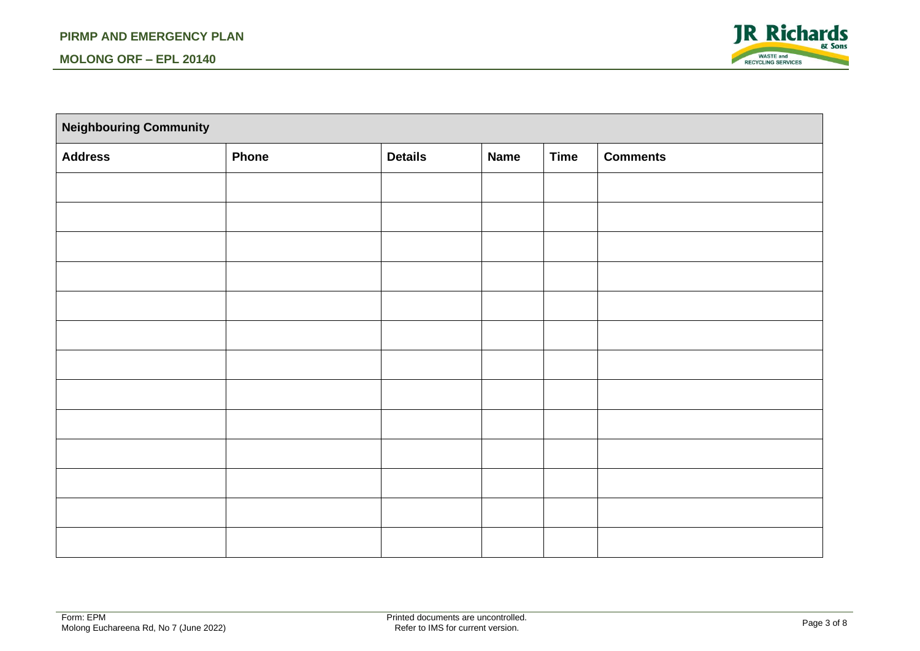

| <b>Neighbouring Community</b> |              |                |             |             |                 |  |
|-------------------------------|--------------|----------------|-------------|-------------|-----------------|--|
| <b>Address</b>                | <b>Phone</b> | <b>Details</b> | <b>Name</b> | <b>Time</b> | <b>Comments</b> |  |
|                               |              |                |             |             |                 |  |
|                               |              |                |             |             |                 |  |
|                               |              |                |             |             |                 |  |
|                               |              |                |             |             |                 |  |
|                               |              |                |             |             |                 |  |
|                               |              |                |             |             |                 |  |
|                               |              |                |             |             |                 |  |
|                               |              |                |             |             |                 |  |
|                               |              |                |             |             |                 |  |
|                               |              |                |             |             |                 |  |
|                               |              |                |             |             |                 |  |
|                               |              |                |             |             |                 |  |
|                               |              |                |             |             |                 |  |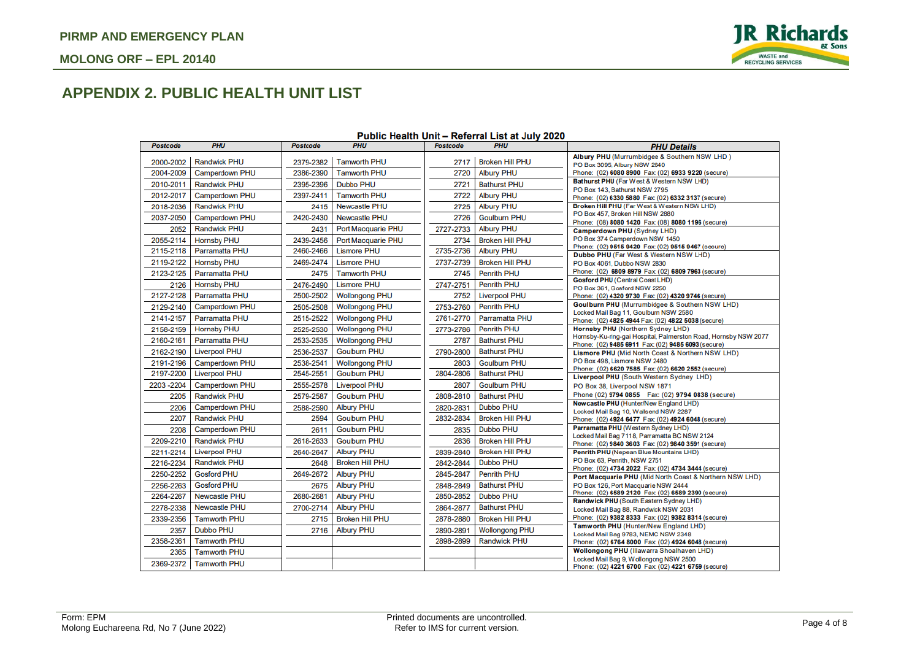

# **APPENDIX 2. PUBLIC HEALTH UNIT LIST**

| <b>Postcode</b> | <b>PHU</b>           | <b>Postcode</b> | <b>PHU</b>             | <b>Postcode</b> | <b>PHU</b>             | <b>PHU Details</b>                                                                                                    |
|-----------------|----------------------|-----------------|------------------------|-----------------|------------------------|-----------------------------------------------------------------------------------------------------------------------|
| 2000-2002       | <b>Randwick PHU</b>  | 2379-2382       | <b>Tamworth PHU</b>    | 2717            | <b>Broken Hill PHU</b> | Albury PHU (Murrumbidgee & Southern NSW LHD)                                                                          |
| 2004-2009       | Camperdown PHU       | 2386-2390       | <b>Tamworth PHU</b>    | 2720            | <b>Albury PHU</b>      | PO Box 3095, Albury NSW 2640<br>Phone: (02) 6080 8900 Fax: (02) 6933 9220 (secure)                                    |
| 2010-2011       | <b>Randwick PHU</b>  | 2395-2396       | <b>Dubbo PHU</b>       | 2721            | <b>Bathurst PHU</b>    | Bathurst PHU (Far West & Western NSW LHD)                                                                             |
|                 |                      |                 | <b>Tamworth PHU</b>    |                 |                        | PO Box 143, Bathurst NSW 2795                                                                                         |
| 2012-2017       | Camperdown PHU       | 2397-2411       |                        | 2722            | <b>Albury PHU</b>      | Phone: (02) 6330 5880 Fax: (02) 6332 3137 (secure)                                                                    |
| 2018-2036       | <b>Randwick PHU</b>  | 2415            | <b>Newcastle PHU</b>   | 2725            | <b>Albury PHU</b>      | Broken Hill PHU (Far West & Western NSW LHD)<br>PO Box 457, Broken Hill NSW 2880                                      |
| 2037-2050       | Camperdown PHU       | 2420-2430       | <b>Newcastle PHU</b>   | 2726            | <b>Goulburn PHU</b>    | Phone: (08) 8080 1420 Fax: (08) 8080 1196 (secure)                                                                    |
| 2052            | <b>Randwick PHU</b>  | 2431            | Port Macquarie PHU     | 2727-2733       | <b>Albury PHU</b>      | Camperdown PHU (Sydney LHD)                                                                                           |
| 2055-2114       | <b>Hornsby PHU</b>   | 2439-2456       | Port Macquarie PHU     | 2734            | <b>Broken Hill PHU</b> | PO Box 374 Camperdown NSW 1450<br>Phone: (02) 9515 9420 Fax: (02) 9515 9467 (secure)                                  |
| 2115-2118       | Parramatta PHU       | 2460-2466       | <b>Lismore PHU</b>     | 2735-2736       | <b>Albury PHU</b>      | Dubbo PHU (Far West & Western NSW LHD)                                                                                |
| 2119-2122       | <b>Hornsby PHU</b>   | 2469-2474       | <b>Lismore PHU</b>     | 2737-2739       | <b>Broken Hill PHU</b> | PO Box 4061, Dubbo NSW 2830                                                                                           |
| 2123-2125       | Parramatta PHU       | 2475            | <b>Tamworth PHU</b>    | 2745            | <b>Penrith PHU</b>     | Phone: (02) 6809 8979 Fax: (02) 6809 7963 (secure)<br><b>Gosford PHU (Central Coast LHD)</b>                          |
| 2126            | <b>Hornsby PHU</b>   | 2476-2490       | <b>Lismore PHU</b>     | 2747-2751       | <b>Penrith PHU</b>     | PO Box 361, Gosford NSW 2250                                                                                          |
| 2127-2128       | Parramatta PHU       | 2500-2502       | <b>Wollongong PHU</b>  | 2752            | <b>Liverpool PHU</b>   | Phone: (02) 4320 9730 Fax: (02) 4320 9746 (secure)                                                                    |
| 2129-2140       | Camperdown PHU       | 2505-2508       | <b>Wollongong PHU</b>  | 2753-2760       | <b>Penrith PHU</b>     | Goulburn PHU (Murrumbidgee & Southern NSW LHD)                                                                        |
| 2141-2157       | Parramatta PHU       | 2515-2522       | <b>Wollongong PHU</b>  | 2761-2770       | Parramatta PHU         | Locked Mail Bag 11, Goulburn NSW 2580<br>Phone: (02) 4825 4944 Fax: (02) 4822 5038 (secure)                           |
| 2158-2159       | <b>Hornsby PHU</b>   | 2525-2530       | <b>Wollongong PHU</b>  | 2773-2786       | <b>Penrith PHU</b>     | Hornsby PHU (Northern Sydney LHD)                                                                                     |
| 2160-2161       | Parramatta PHU       | 2533-2535       | <b>Wollongong PHU</b>  | 2787            | <b>Bathurst PHU</b>    | Hornsby-Ku-ring-gai Hospital, Palmerston Road, Hornsby NSW 2077<br>Phone: (02) 9485 6911 Fax: (02) 9485 6093 (secure) |
| 2162-2190       | <b>Liverpool PHU</b> | 2536-2537       | <b>Goulburn PHU</b>    | 2790-2800       | <b>Bathurst PHU</b>    | Lismore PHU (Mid North Coast & Northern NSW LHD)                                                                      |
| 2191-2196       | Camperdown PHU       | 2538-2541       | <b>Wollongong PHU</b>  | 2803            | <b>Goulburn PHU</b>    | PO Box 498, Lismore NSW 2480                                                                                          |
| 2197-2200       | <b>Liverpool PHU</b> | 2545-2551       | <b>Goulburn PHU</b>    | 2804-2806       | <b>Bathurst PHU</b>    | Phone: (02) 6620 7585 Fax: (02) 6620 2552 (secure)<br>Liverpool PHU (South Western Sydney LHD)                        |
| 2203-2204       | Camperdown PHU       | 2555-2578       | <b>Liverpool PHU</b>   | 2807            | <b>Goulburn PHU</b>    | PO Box 38, Liverpool NSW 1871                                                                                         |
| 2205            | <b>Randwick PHU</b>  | 2579-2587       | <b>Goulburn PHU</b>    | 2808-2810       | <b>Bathurst PHU</b>    | Phone (02) 9794 0855   Fax: (02) 9794 0838 (secure)                                                                   |
| 2206            | Camperdown PHU       | 2588-2590       | <b>Albury PHU</b>      | 2820-2831       | <b>Dubbo PHU</b>       | Newcastle PHU (Hunter/New England LHD)<br>Locked Mail Bag 10, Wallsend NSW 2287                                       |
| 2207            | <b>Randwick PHU</b>  | 2594            | <b>Goulburn PHU</b>    | 2832-2834       | <b>Broken Hill PHU</b> | Phone: (02) 4924 6477 Fax: (02) 4924 6048 (secure)                                                                    |
| 2208            | Camperdown PHU       | 2611            | <b>Goulburn PHU</b>    | 2835            | <b>Dubbo PHU</b>       | Parramatta PHU (Western Sydney LHD)                                                                                   |
| 2209-2210       | <b>Randwick PHU</b>  | 2618-2633       | <b>Goulburn PHU</b>    | 2836            | <b>Broken Hill PHU</b> | Locked Mail Bag 7118, Parramatta BC NSW 2124<br>Phone: (02) 9840 3603 Fax: (02) 9840 3591 (secure)                    |
| 2211-2214       | <b>Liverpool PHU</b> | 2640-2647       | <b>Albury PHU</b>      | 2839-2840       | <b>Broken Hill PHU</b> | Penrith PHU (Nepean Blue Mountains LHD)                                                                               |
| 2216-2234       | <b>Randwick PHU</b>  | 2648            | <b>Broken Hill PHU</b> | 2842-2844       | <b>Dubbo PHU</b>       | PO Box 63, Penrith, NSW 2751                                                                                          |
| 2250-2252       | <b>Gosford PHU</b>   | 2649-2672       | <b>Albury PHU</b>      | 2845-2847       | <b>Penrith PHU</b>     | Phone: (02) 4734 2022 Fax: (02) 4734 3444 (secure)<br>Port Macquarie PHU (Mid North Coast & Northern NSW LHD)         |
| 2256-2263       | <b>Gosford PHU</b>   | 2675            | <b>Albury PHU</b>      | 2848-2849       | <b>Bathurst PHU</b>    | PO Box 126, Port Macquarie NSW 2444                                                                                   |
| 2264-2267       | <b>Newcastle PHU</b> | 2680-2681       | <b>Albury PHU</b>      | 2850-2852       | <b>Dubbo PHU</b>       | Phone: (02) 6589 2120 Fax: (02) 6589 2390 (secure)                                                                    |
| 2278-2338       | Newcastle PHU        | 2700-2714       | <b>Albury PHU</b>      | 2864-2877       | <b>Bathurst PHU</b>    | Randwick PHU (South Eastern Sydney LHD)<br>Locked Mail Bag 88, Randwick NSW 2031                                      |
| 2339-2356       | <b>Tamworth PHU</b>  | 2715            | <b>Broken Hill PHU</b> | 2878-2880       | <b>Broken Hill PHU</b> | Phone: (02) 9382 8333 Fax: (02) 9382 8314 (secure)                                                                    |
| 2357            | <b>Dubbo PHU</b>     | 2716            | <b>Albury PHU</b>      | 2890-2891       | <b>Wollongong PHU</b>  | Tamworth PHU (Hunter/New England LHD)                                                                                 |
| 2358-2361       | <b>Tamworth PHU</b>  |                 |                        | 2898-2899       | <b>Randwick PHU</b>    | Locked Mail Bag 9783, NEMC NSW 2348<br>Phone: (02) 6764 8000 Fax: (02) 4924 6048 (secure)                             |
| 2365            | <b>Tamworth PHU</b>  |                 |                        |                 |                        | <b>Wollongong PHU (Illawarra Shoalhaven LHD)</b>                                                                      |
| 2369-2372       | <b>Tamworth PHU</b>  |                 |                        |                 |                        | Locked Mail Bag 9, Wollongong NSW 2500                                                                                |
|                 |                      |                 |                        |                 |                        | Phone: (02) 4221 6700 Fax: (02) 4221 6759 (secure)                                                                    |

#### Public Health Unit - Referral List at July 2020